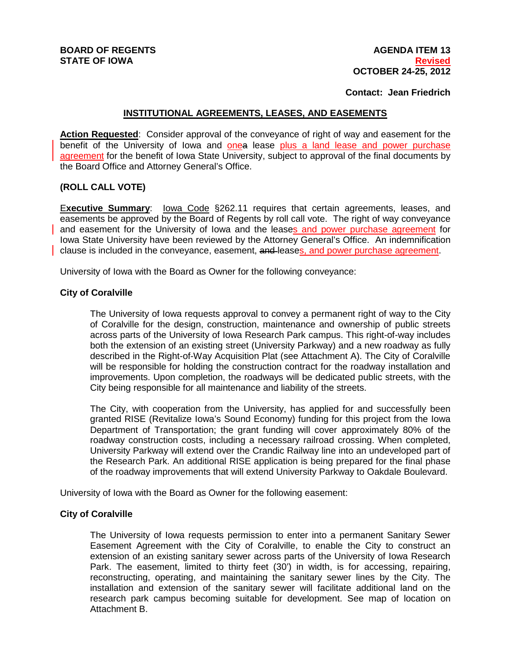### **Contact: Jean Friedrich**

# **INSTITUTIONAL AGREEMENTS, LEASES, AND EASEMENTS**

**Action Requested**: Consider approval of the conveyance of right of way and easement for the benefit of the University of Iowa and onea lease plus a land lease and power purchase agreement for the benefit of Iowa State University, subject to approval of the final documents by the Board Office and Attorney General's Office.

## **(ROLL CALL VOTE)**

E**xecutive Summary**: Iowa Code §262.11 requires that certain agreements, leases, and easements be approved by the Board of Regents by roll call vote. The right of way conveyance and easement for the University of Iowa and the leases and power purchase agreement for Iowa State University have been reviewed by the Attorney General's Office. An indemnification clause is included in the conveyance, easement, and leases, and power purchase agreement.

University of Iowa with the Board as Owner for the following conveyance:

### **City of Coralville**

The University of Iowa requests approval to convey a permanent right of way to the City of Coralville for the design, construction, maintenance and ownership of public streets across parts of the University of Iowa Research Park campus. This right-of-way includes both the extension of an existing street (University Parkway) and a new roadway as fully described in the Right-of-Way Acquisition Plat (see Attachment A). The City of Coralville will be responsible for holding the construction contract for the roadway installation and improvements. Upon completion, the roadways will be dedicated public streets, with the City being responsible for all maintenance and liability of the streets.

The City, with cooperation from the University, has applied for and successfully been granted RISE (Revitalize Iowa's Sound Economy) funding for this project from the Iowa Department of Transportation; the grant funding will cover approximately 80% of the roadway construction costs, including a necessary railroad crossing. When completed, University Parkway will extend over the Crandic Railway line into an undeveloped part of the Research Park. An additional RISE application is being prepared for the final phase of the roadway improvements that will extend University Parkway to Oakdale Boulevard.

University of Iowa with the Board as Owner for the following easement:

# **City of Coralville**

The University of Iowa requests permission to enter into a permanent Sanitary Sewer Easement Agreement with the City of Coralville, to enable the City to construct an extension of an existing sanitary sewer across parts of the University of Iowa Research Park. The easement, limited to thirty feet (30') in width, is for accessing, repairing, reconstructing, operating, and maintaining the sanitary sewer lines by the City. The installation and extension of the sanitary sewer will facilitate additional land on the research park campus becoming suitable for development. See map of location on Attachment B.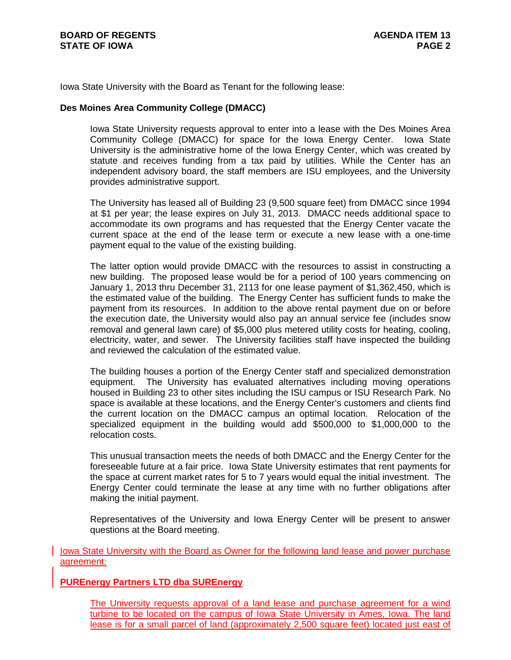Iowa State University with the Board as Tenant for the following lease:

## **Des Moines Area Community College (DMACC)**

Iowa State University requests approval to enter into a lease with the Des Moines Area Community College (DMACC) for space for the Iowa Energy Center. Iowa State University is the administrative home of the Iowa Energy Center, which was created by statute and receives funding from a tax paid by utilities. While the Center has an independent advisory board, the staff members are ISU employees, and the University provides administrative support.

The University has leased all of Building 23 (9,500 square feet) from DMACC since 1994 at \$1 per year; the lease expires on July 31, 2013. DMACC needs additional space to accommodate its own programs and has requested that the Energy Center vacate the current space at the end of the lease term or execute a new lease with a one-time payment equal to the value of the existing building.

The latter option would provide DMACC with the resources to assist in constructing a new building. The proposed lease would be for a period of 100 years commencing on January 1, 2013 thru December 31, 2113 for one lease payment of \$1,362,450, which is the estimated value of the building. The Energy Center has sufficient funds to make the payment from its resources. In addition to the above rental payment due on or before the execution date, the University would also pay an annual service fee (includes snow removal and general lawn care) of \$5,000 plus metered utility costs for heating, cooling, electricity, water, and sewer. The University facilities staff have inspected the building and reviewed the calculation of the estimated value.

The building houses a portion of the Energy Center staff and specialized demonstration equipment. The University has evaluated alternatives including moving operations housed in Building 23 to other sites including the ISU campus or ISU Research Park. No space is available at these locations, and the Energy Center's customers and clients find the current location on the DMACC campus an optimal location. Relocation of the specialized equipment in the building would add \$500,000 to \$1,000,000 to the relocation costs.

This unusual transaction meets the needs of both DMACC and the Energy Center for the foreseeable future at a fair price. Iowa State University estimates that rent payments for the space at current market rates for 5 to 7 years would equal the initial investment. The Energy Center could terminate the lease at any time with no further obligations after making the initial payment.

Representatives of the University and Iowa Energy Center will be present to answer questions at the Board meeting.

Iowa State University with the Board as Owner for the following land lease and power purchase agreement:

### **PUREnergy Partners LTD dba SUREnergy**

The University requests approval of a land lease and purchase agreement for a wind turbine to be located on the campus of Iowa State University in Ames, Iowa. The land lease is for a small parcel of land (approximately 2,500 square feet) located just east of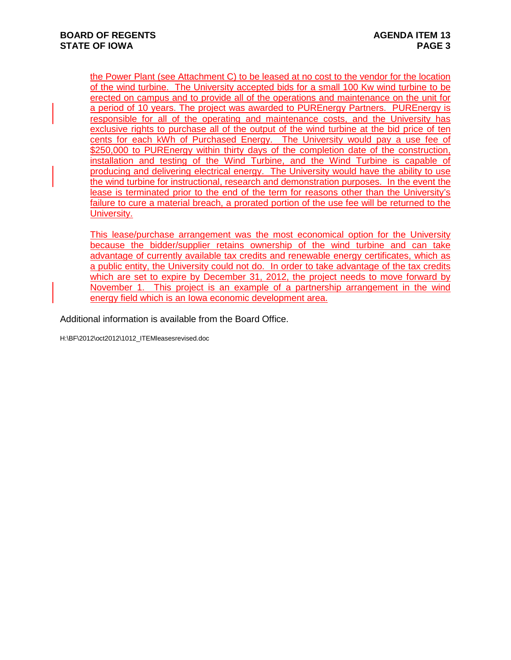the Power Plant (see Attachment C) to be leased at no cost to the vendor for the location of the wind turbine. The University accepted bids for a small 100 Kw wind turbine to be erected on campus and to provide all of the operations and maintenance on the unit for a period of 10 years. The project was awarded to PUREnergy Partners. PUREnergy is responsible for all of the operating and maintenance costs, and the University has exclusive rights to purchase all of the output of the wind turbine at the bid price of ten cents for each kWh of Purchased Energy. The University would pay a use fee of \$250,000 to PUREnergy within thirty days of the completion date of the construction, installation and testing of the Wind Turbine, and the Wind Turbine is capable of producing and delivering electrical energy. The University would have the ability to use the wind turbine for instructional, research and demonstration purposes. In the event the lease is terminated prior to the end of the term for reasons other than the University's failure to cure a material breach, a prorated portion of the use fee will be returned to the University.

This lease/purchase arrangement was the most economical option for the University because the bidder/supplier retains ownership of the wind turbine and can take advantage of currently available tax credits and renewable energy certificates, which as a public entity, the University could not do. In order to take advantage of the tax credits which are set to expire by December 31, 2012, the project needs to move forward by November 1. This project is an example of a partnership arrangement in the wind energy field which is an Iowa economic development area.

Additional information is available from the Board Office.

H:\BF\2012\oct2012\1012\_ITEMleasesrevised.doc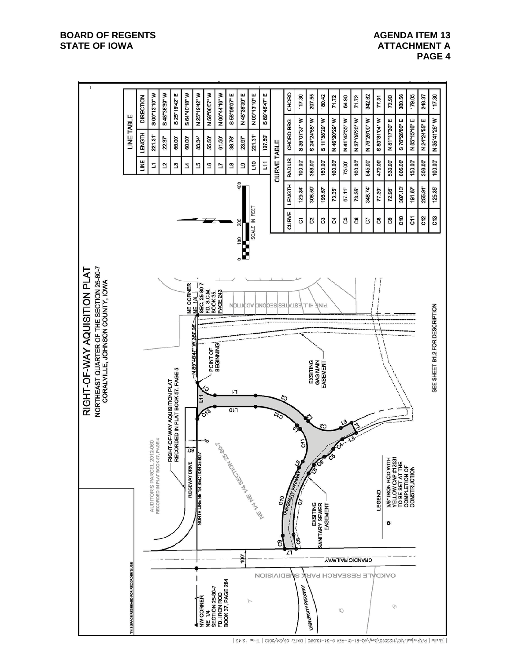## **AGENDA ITEM 13 ATTACHMENT A PAGE 4**



<sup>|</sup> Jabaile | P: \Projects\tC\f123030\Dwq\AQ-B1-01-REV 9-24-12.DWG | DATE: 09/24/2012 | Time: 12:43 |

#### **BOARD OF REGENTS STATE OF IOWA**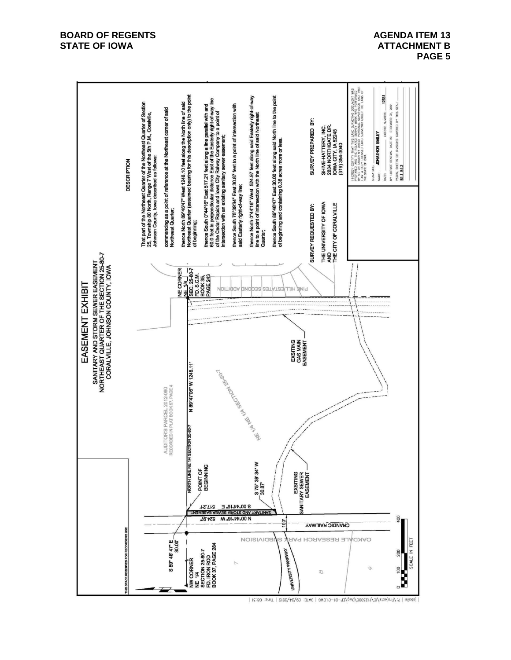### **BOARD OF REGENTS STATE OF IOWA**